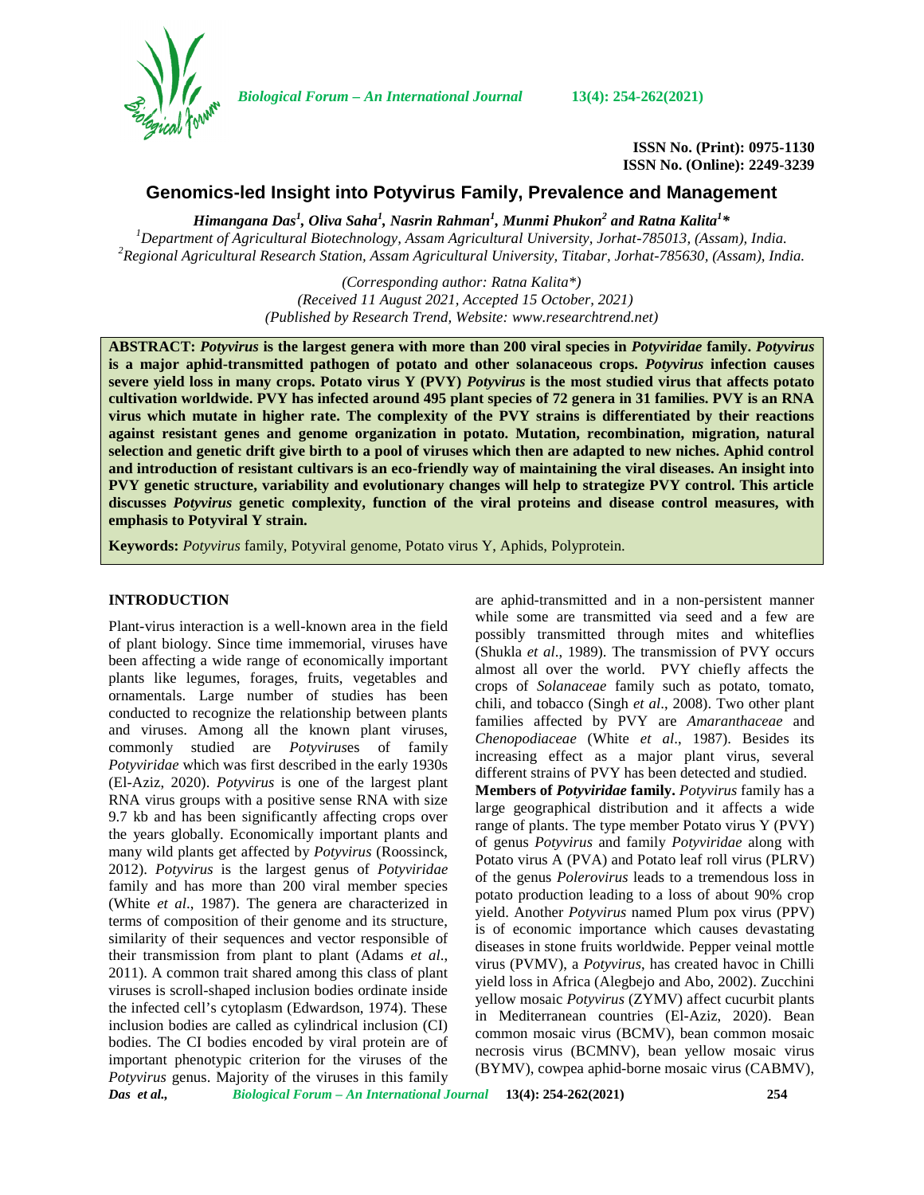

*Biological Forum – An International Journal* **13(4): 254-262(2021)**

**ISSN No. (Print): 0975-1130 ISSN No. (Online): 2249-3239**

# **Genomics-led Insight into Potyvirus Family, Prevalence and Management**

*Himangana Das<sup>1</sup> , Oliva Saha<sup>1</sup> , Nasrin Rahman<sup>1</sup> , Munmi Phukon<sup>2</sup> and Ratna Kalita<sup>1</sup>\** <sup>1</sup>Department of Agricultural Biotechnology, Assam Agricultural University, Jorhat-785013, (Assam), India.<br><sup>2</sup>Regional Agricultural Research Station, Assam Agricultural University, Titabar, Jorhat-785630, (Assam), India.

> *(Corresponding author: Ratna Kalita\*) (Received 11 August 2021, Accepted 15 October, 2021) (Published by Research Trend, Website: [www.researchtrend.net\)](www.researchtrend.net)*

**ABSTRACT:** *Potyvirus* **is the largest genera with more than 200 viral species in** *Potyviridae* **family.** *Potyvirus* **is a major aphid-transmitted pathogen of potato and other solanaceous crops.** *Potyvirus* **infection causes severe yield loss in many crops. Potato virus Y (PVY)** *Potyvirus* **is the most studied virus that affects potato cultivation worldwide. PVY has infected around 495 plant species of 72 genera in 31 families. PVY is an RNA virus which mutate in higher rate. The complexity of the PVY strains is differentiated by their reactions against resistant genes and genome organization in potato. Mutation, recombination, migration, natural selection and genetic drift give birth to a pool of viruses which then are adapted to new niches. Aphid control and introduction of resistant cultivars is an eco-friendly way of maintaining the viral diseases. An insight into PVY genetic structure, variability and evolutionary changes will help to strategize PVY control. This article discusses** *Potyvirus* **genetic complexity, function of the viral proteins and disease control measures, with emphasis to Potyviral Y strain.**

**Keywords:** *Potyvirus* family, Potyviral genome, Potato virus Y, Aphids, Polyprotein.

#### **INTRODUCTION**

Plant-virus interaction is a well-known area in the field of plant biology. Since time immemorial, viruses have been affecting a wide range of economically important plants like legumes, forages, fruits, vegetables and ornamentals. Large number of studies has been conducted to recognize the relationship between plants and viruses. Among all the known plant viruses, commonly studied are *Potyvirus*es of family *Potyviridae* which was first described in the early 1930s (El-Aziz, 2020). *Potyvirus* is one of the largest plant RNA virus groups with a positive sense RNA with size 9.7 kb and has been significantly affecting crops over the years globally. Economically important plants and many wild plants get affected by *Potyvirus* (Roossinck, 2012). *Potyvirus* is the largest genus of *Potyviridae* family and has more than 200 viral member species (White *et al*., 1987). The genera are characterized in terms of composition of their genome and its structure, similarity of their sequences and vector responsible of their transmission from plant to plant (Adams *et al*., 2011). A common trait shared among this class of plant viruses is scroll-shaped inclusion bodies ordinate inside the infected cell's cytoplasm (Edwardson, 1974). These inclusion bodies are called as cylindrical inclusion (CI) bodies. The CI bodies encoded by viral protein are of important phenotypic criterion for the viruses of the *Potyvirus* genus. Majority of the viruses in this family

are aphid-transmitted and in a non-persistent manner while some are transmitted via seed and a few are possibly transmitted through mites and whiteflies (Shukla *et al*., 1989). The transmission of PVY occurs almost all over the world. PVY chiefly affects the crops of *Solanaceae* family such as potato, tomato, chili, and tobacco (Singh *et al*., 2008). Two other plant families affected by PVY are *Amaranthaceae* and *Chenopodiaceae* (White *et al*., 1987). Besides its increasing effect as a major plant virus, several different strains of PVY has been detected and studied.

**Members of** *Potyviridae* **family.** *Potyvirus* family has a large geographical distribution and it affects a wide range of plants. The type member Potato virus Y (PVY) of genus *Potyvirus* and family *Potyviridae* along with Potato virus A (PVA) and Potato leaf roll virus (PLRV) of the genus *Polerovirus* leads to a tremendous loss in potato production leading to a loss of about 90% crop yield. Another *Potyvirus* named Plum pox virus (PPV) is of economic importance which causes devastating diseases in stone fruits worldwide. Pepper veinal mottle virus (PVMV), a *Potyvirus*, has created havoc in Chilli yield loss in Africa (Alegbejo and Abo, 2002). Zucchini yellow mosaic *Potyvirus* (ZYMV) affect cucurbit plants in Mediterranean countries (El-Aziz, 2020). Bean common mosaic virus (BCMV), bean common mosaic necrosis virus (BCMNV), bean yellow mosaic virus (BYMV), cowpea aphid-borne mosaic virus (CABMV),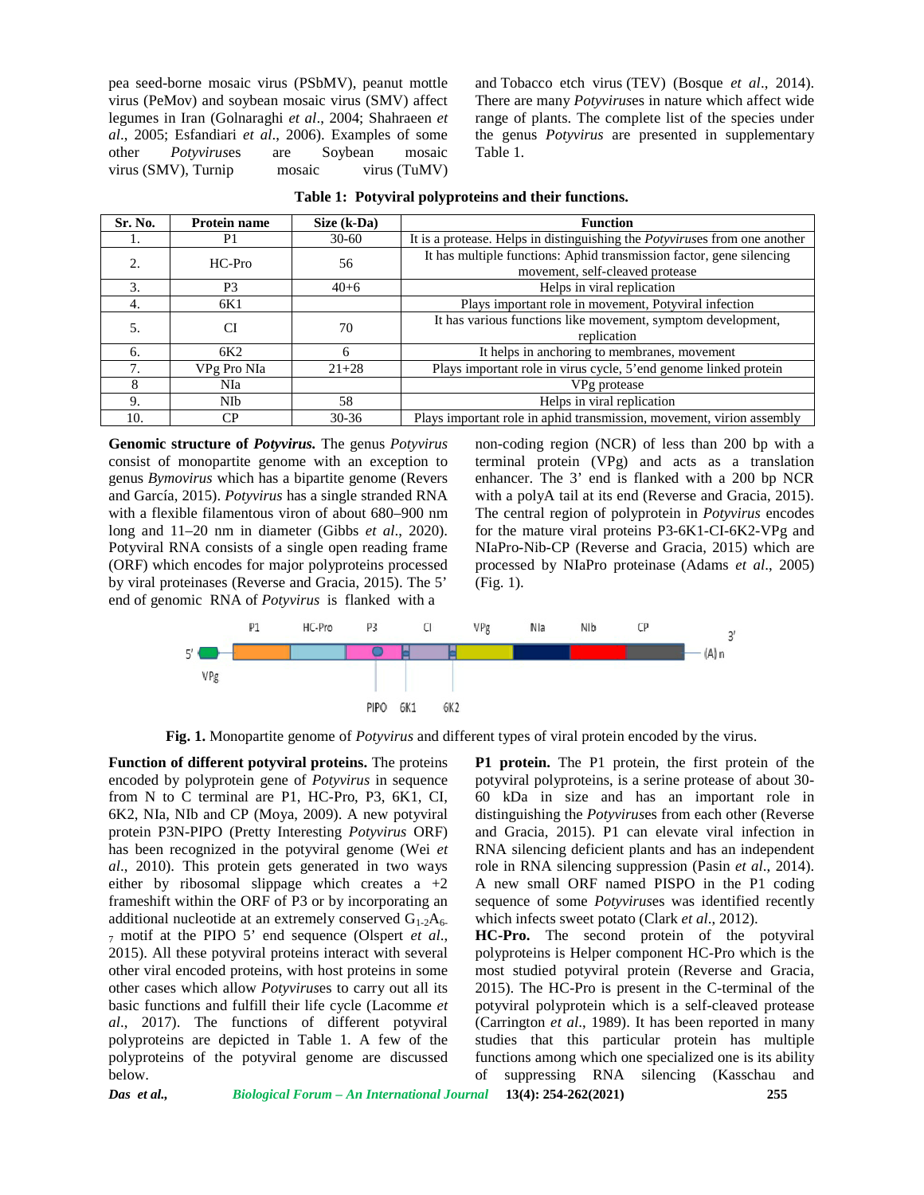pea seed-borne mosaic virus (PSbMV), peanut mottle virus (PeMov) and soybean mosaic virus (SMV) affect legumes in Iran (Golnaraghi *et al*., 2004; Shahraeen *et al*., 2005; Esfandiari *et al*., 2006). Examples of some other *Potyvirus*es are Soybean mosaic virus (SMV), Turnip mosaic virus (TuMV) and Tobacco etch virus (TEV) (Bosque *et al*., 2014). There are many *Potyvirus*es in nature which affect wide range of plants. The complete list of the species under the genus *Potyvirus* are presented in supplementary Table 1.

| Sr. No. | <b>Protein name</b> | Size (k-Da) | <b>Function</b>                                                                                         |
|---------|---------------------|-------------|---------------------------------------------------------------------------------------------------------|
|         | P <sub>1</sub>      | $30-60$     | It is a protease. Helps in distinguishing the <i>Potyviruses</i> from one another                       |
|         | $HC-Pro$            | 56          | It has multiple functions: Aphid transmission factor, gene silencing<br>movement, self-cleaved protease |
| 3.      | P <sub>3</sub>      | $40+6$      | Helps in viral replication                                                                              |
| 4.      | 6K1                 |             | Plays important role in movement, Potyviral infection                                                   |
|         |                     | 70          | It has various functions like movement, symptom development,<br>replication                             |
| 6.      | 6K <sub>2</sub>     | 6           | It helps in anchoring to membranes, movement                                                            |
| 7       | VPg Pro NIa         | $21 + 28$   | Plays important role in virus cycle, 5'end genome linked protein                                        |
|         | NIa                 |             | VPg protease                                                                                            |
| 9.      | <b>NIb</b>          | 58          | Helps in viral replication                                                                              |
| 10.     | CР                  | $30 - 36$   | Plays important role in aphid transmission, movement, virion assembly                                   |

|  |  | Table 1: Potyviral polyproteins and their functions. |  |
|--|--|------------------------------------------------------|--|
|--|--|------------------------------------------------------|--|

**Genomic structure of** *Potyvirus.* The genus *Potyvirus* consist of monopartite genome with an exception to genus *Bymovirus* which has a bipartite genome (Revers and García, 2015). *Potyvirus* has a single stranded RNA with a flexible filamentous viron of about 680–900 nm long and 11–20 nm in diameter (Gibbs *et al*., 2020). Potyviral RNA consists of a single open reading frame (ORF) which encodes for major polyproteins processed by viral proteinases (Reverse and Gracia, 2015). The 5' end of genomic RNA of *Potyvirus* is flanked with a

non-coding region (NCR) of less than 200 bp with a terminal protein (VPg) and acts as a translation enhancer. The 3' end is flanked with a 200 bp NCR with a polyA tail at its end (Reverse and Gracia, 2015). The central region of polyprotein in *Potyvirus* encodes for the mature viral proteins P3-6K1-CI-6K2-VPg and NIaPro-Nib-CP (Reverse and Gracia, 2015) which are processed by NIaPro proteinase (Adams *et al*., 2005) (Fig. 1).



**Fig. 1.** Monopartite genome of *Potyvirus* and different types of viral protein encoded by the virus.

**Function of different potyviral proteins.** The proteins encoded by polyprotein gene of *Potyvirus* in sequence from N to C terminal are P1, HC-Pro, P3, 6K1, CI, 6K2, NIa, NIb and CP (Moya, 2009). A new potyviral protein P3N-PIPO (Pretty Interesting *Potyvirus* ORF) has been recognized in the potyviral genome (Wei *et al*., 2010). This protein gets generated in two ways either by ribosomal slippage which creates  $a +2$ frameshift within the ORF of P3 or by incorporating an additional nucleotide at an extremely conserved  $G_{1-2}A_{6-1}$ <sup>7</sup> motif at the PIPO 5' end sequence (Olspert *et al*., 2015). All these potyviral proteins interact with several other viral encoded proteins, with host proteins in some other cases which allow *Potyvirus*es to carry out all its basic functions and fulfill their life cycle (Lacomme *et al*., 2017). The functions of different potyviral polyproteins are depicted in Table 1. A few of the polyproteins of the potyviral genome are discussed below.

**P1 protein.** The P1 protein, the first protein of the potyviral polyproteins, is a serine protease of about 30- 60 kDa in size and has an important role in distinguishing the *Potyvirus*es from each other (Reverse and Gracia, 2015). P1 can elevate viral infection in RNA silencing deficient plants and has an independent role in RNA silencing suppression (Pasin *et al*., 2014). A new small ORF named PISPO in the P1 coding sequence of some *Potyvirus*es was identified recently which infects sweet potato (Clark *et al*., 2012).

**HC-Pro.** The second protein of the potyviral polyproteins is Helper component HC-Pro which is the most studied potyviral protein (Reverse and Gracia, 2015). The HC-Pro is present in the C-terminal of the potyviral polyprotein which is a self-cleaved protease (Carrington *et al*., 1989). It has been reported in many studies that this particular protein has multiple functions among which one specialized one is its ability of suppressing RNA silencing (Kasschau and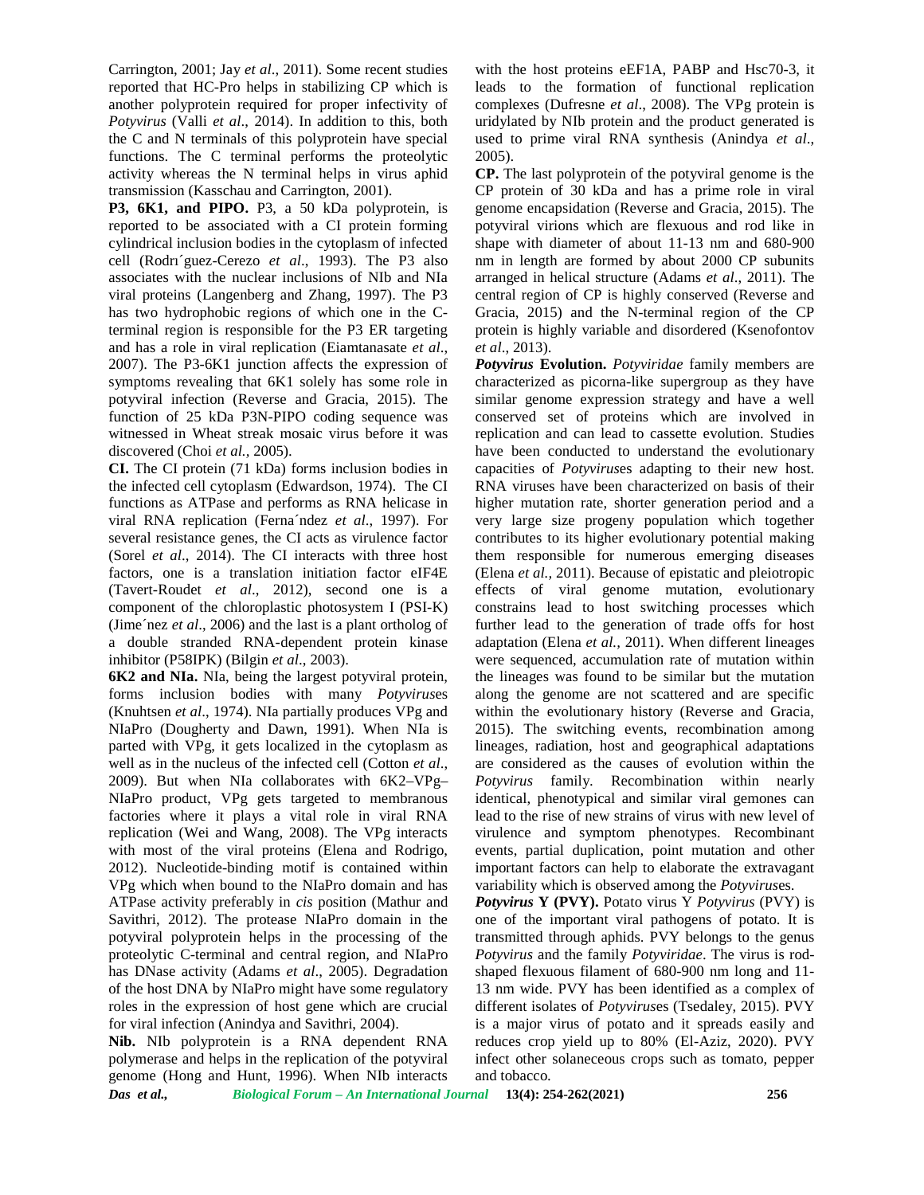Carrington, 2001; Jay *et al*., 2011). Some recent studies reported that HC-Pro helps in stabilizing CP which is another polyprotein required for proper infectivity of *Potyvirus* (Valli *et al*., 2014). In addition to this, both the C and N terminals of this polyprotein have special functions. The C terminal performs the proteolytic activity whereas the N terminal helps in virus aphid transmission (Kasschau and Carrington, 2001).

**P3, 6K1, and PIPO.** P3, a 50 kDa polyprotein, is reported to be associated with a CI protein forming cylindrical inclusion bodies in the cytoplasm of infected cell (Rodrı´guez-Cerezo *et al*., 1993). The P3 also associates with the nuclear inclusions of NIb and NIa viral proteins (Langenberg and Zhang, 1997). The P3 has two hydrophobic regions of which one in the Cterminal region is responsible for the P3 ER targeting and has a role in viral replication (Eiamtanasate *et al*., 2007). The P3-6K1 junction affects the expression of symptoms revealing that 6K1 solely has some role in potyviral infection (Reverse and Gracia, 2015). The function of 25 kDa P3N-PIPO coding sequence was witnessed in Wheat streak mosaic virus before it was discovered (Choi *et al.,* 2005).

**CI.** The CI protein (71 kDa) forms inclusion bodies in the infected cell cytoplasm (Edwardson, 1974). The CI functions as ATPase and performs as RNA helicase in viral RNA replication (Ferna´ndez *et al*., 1997). For several resistance genes, the CI acts as virulence factor (Sorel *et al*., 2014). The CI interacts with three host factors, one is a translation initiation factor eIF4E (Tavert-Roudet *et al*., 2012), second one is a component of the chloroplastic photosystem I (PSI-K) (Jime´nez *et al*., 2006) and the last is a plant ortholog of a double stranded RNA-dependent protein kinase inhibitor (P58IPK) (Bilgin *et al*., 2003).

**6K2 and NIa.** NIa, being the largest potyviral protein, forms inclusion bodies with many *Potyvirus*es (Knuhtsen *et al*., 1974). NIa partially produces VPg and NIaPro (Dougherty and Dawn, 1991). When NIa is parted with VPg, it gets localized in the cytoplasm as well as in the nucleus of the infected cell (Cotton *et al*., 2009). But when NIa collaborates with 6K2–VPg– NIaPro product, VPg gets targeted to membranous factories where it plays a vital role in viral RNA replication (Wei and Wang, 2008). The VPg interacts with most of the viral proteins (Elena and Rodrigo, 2012). Nucleotide-binding motif is contained within VPg which when bound to the NIaPro domain and has ATPase activity preferably in *cis* position (Mathur and Savithri, 2012). The protease NIaPro domain in the potyviral polyprotein helps in the processing of the proteolytic C-terminal and central region, and NIaPro has DNase activity (Adams *et al*., 2005). Degradation of the host DNA by NIaPro might have some regulatory roles in the expression of host gene which are crucial for viral infection (Anindya and Savithri, 2004).

**Nib.** NIb polyprotein is a RNA dependent RNA polymerase and helps in the replication of the potyviral genome (Hong and Hunt, 1996). When NIb interacts with the host proteins eEF1A, PABP and Hsc70-3, it leads to the formation of functional replication complexes (Dufresne *et al*., 2008). The VPg protein is uridylated by NIb protein and the product generated is used to prime viral RNA synthesis (Anindya *et al*., 2005).

**CP.** The last polyprotein of the potyviral genome is the CP protein of 30 kDa and has a prime role in viral genome encapsidation (Reverse and Gracia, 2015). The potyviral virions which are flexuous and rod like in shape with diameter of about 11-13 nm and 680-900 nm in length are formed by about 2000 CP subunits arranged in helical structure (Adams *et al*., 2011). The central region of CP is highly conserved (Reverse and Gracia, 2015) and the N-terminal region of the CP protein is highly variable and disordered (Ksenofontov *et al*., 2013).

*Potyvirus* **Evolution.** *Potyviridae* family members are characterized as picorna-like supergroup as they have similar genome expression strategy and have a well conserved set of proteins which are involved in replication and can lead to cassette evolution. Studies have been conducted to understand the evolutionary capacities of *Potyvirus*es adapting to their new host. RNA viruses have been characterized on basis of their higher mutation rate, shorter generation period and a very large size progeny population which together contributes to its higher evolutionary potential making them responsible for numerous emerging diseases (Elena *et al.,* 2011). Because of epistatic and pleiotropic effects of viral genome mutation, evolutionary constrains lead to host switching processes which further lead to the generation of trade offs for host adaptation (Elena *et al.,* 2011). When different lineages were sequenced, accumulation rate of mutation within the lineages was found to be similar but the mutation along the genome are not scattered and are specific within the evolutionary history (Reverse and Gracia, 2015). The switching events, recombination among lineages, radiation, host and geographical adaptations are considered as the causes of evolution within the *Potyvirus* family. Recombination within nearly identical, phenotypical and similar viral gemones can lead to the rise of new strains of virus with new level of virulence and symptom phenotypes. Recombinant events, partial duplication, point mutation and other important factors can help to elaborate the extravagant variability which is observed among the *Potyvirus*es.

*Potyvirus* **Y (PVY).** Potato virus Y *Potyvirus* (PVY) is one of the important viral pathogens of potato. It is transmitted through aphids. PVY belongs to the genus *Potyvirus* and the family *Potyviridae*. The virus is rod shaped flexuous filament of 680-900 nm long and 11- 13 nm wide. PVY has been identified as a complex of different isolates of *Potyvirus*es (Tsedaley, 2015). PVY is a major virus of potato and it spreads easily and reduces crop yield up to 80% (El-Aziz, 2020). PVY infect other solaneceous crops such as tomato, pepper and tobacco.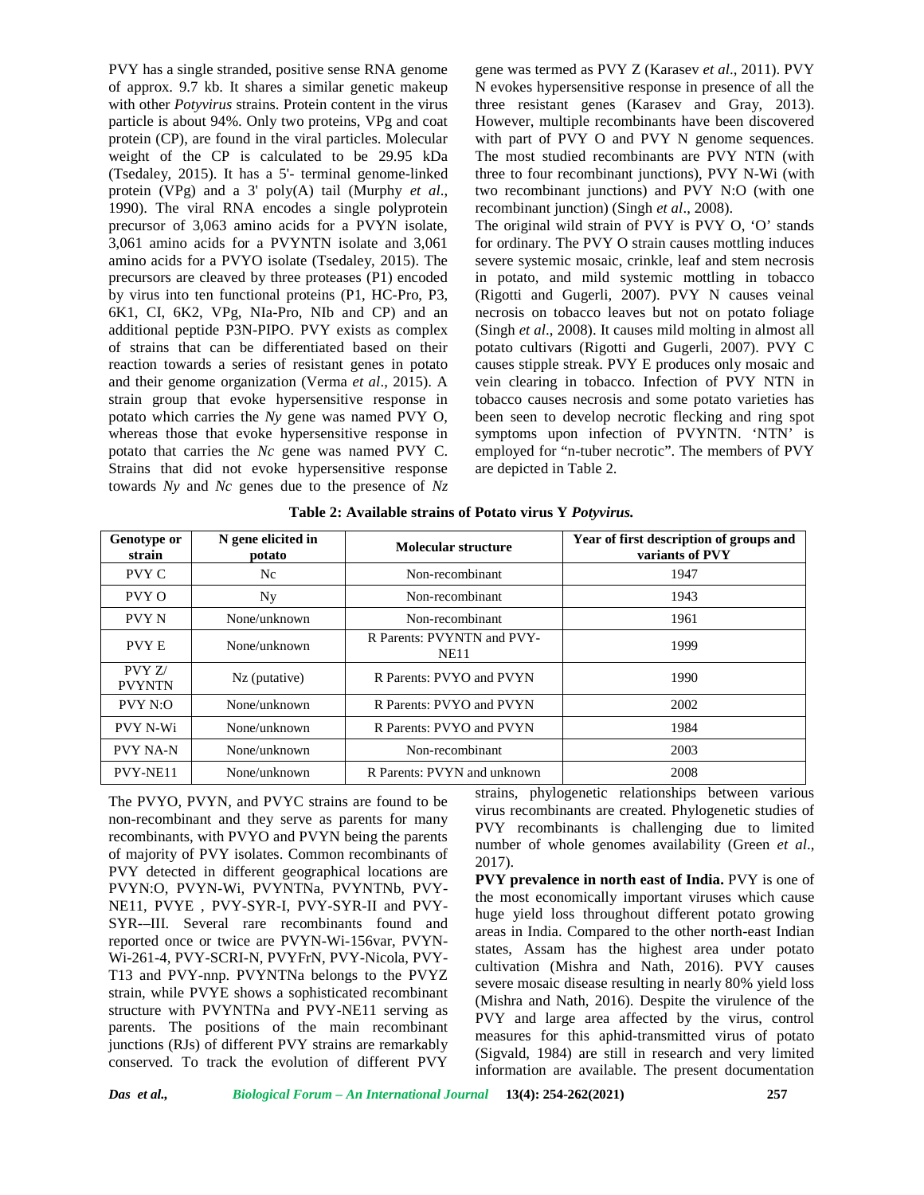PVY has a single stranded, positive sense RNA genome of approx. 9.7 kb. It shares a similar genetic makeup with other *Potyvirus* strains. Protein content in the virus particle is about 94%. Only two proteins, VPg and coat protein (CP), are found in the viral particles. Molecular weight of the CP is calculated to be 29.95 kDa (Tsedaley, 2015). It has a 5'- terminal genome-linked protein (VPg) and a 3' poly(A) tail (Murphy *et al*., 1990). The viral RNA encodes a single polyprotein precursor of 3,063 amino acids for a PVYN isolate, 3,061 amino acids for a PVYNTN isolate and 3,061 amino acids for a PVYO isolate (Tsedaley, 2015). The precursors are cleaved by three proteases (P1) encoded by virus into ten functional proteins (P1, HC-Pro, P3, 6K1, CI, 6K2, VPg, NIa-Pro, NIb and CP) and an additional peptide P3N-PIPO. PVY exists as complex of strains that can be differentiated based on their reaction towards a series of resistant genes in potato and their genome organization (Verma *et al*., 2015). A strain group that evoke hypersensitive response in potato which carries the *Ny* gene was named PVY O, whereas those that evoke hypersensitive response in potato that carries the *Nc* gene was named PVY C. Strains that did not evoke hypersensitive response towards *Ny* and *Nc* genes due to the presence of *Nz*

gene was termed as PVY Z (Karasev *et al*., 2011). PVY N evokes hypersensitive response in presence of all the three resistant genes (Karasev and Gray, 2013). However, multiple recombinants have been discovered with part of PVY O and PVY N genome sequences. The most studied recombinants are PVY NTN (with three to four recombinant junctions), PVY N-Wi (with two recombinant junctions) and PVY N:O (with one recombinant junction) (Singh *et al*., 2008).

The original wild strain of PVY is PVY O, 'O' stands for ordinary. The PVY O strain causes mottling induces severe systemic mosaic, crinkle, leaf and stem necrosis in potato, and mild systemic mottling in tobacco (Rigotti and Gugerli, 2007). PVY N causes veinal necrosis on tobacco leaves but not on potato foliage (Singh *et al*., 2008). It causes mild molting in almost all potato cultivars (Rigotti and Gugerli, 2007). PVY C causes stipple streak. PVY E produces only mosaic and vein clearing in tobacco. Infection of PVY NTN in tobacco causes necrosis and some potato varieties has been seen to develop necrotic flecking and ring spot symptoms upon infection of PVYNTN. 'NTN' is employed for "n-tuber necrotic". The members of PVY are depicted in Table 2.

| Genotype or<br>strain  | N gene elicited in<br>potato | Molecular structure                       | Year of first description of groups and<br>variants of PVY |
|------------------------|------------------------------|-------------------------------------------|------------------------------------------------------------|
| PVY C                  | Nc                           | Non-recombinant                           | 1947                                                       |
| PVY O                  | Ny                           | Non-recombinant                           | 1943                                                       |
| PVY N                  | None/unknown                 | Non-recombinant                           | 1961                                                       |
| <b>PVYE</b>            | None/unknown                 | R Parents: PVYNTN and PVY-<br><b>NE11</b> | 1999                                                       |
| PVYZ/<br><b>PVYNTN</b> | Nz (putative)                | R Parents: PVYO and PVYN                  | 1990                                                       |
| PVY N:O                | None/unknown                 | R Parents: PVYO and PVYN                  | 2002                                                       |
| <b>PVY N-Wi</b>        | None/unknown                 | R Parents: PVYO and PVYN                  | 1984                                                       |
| <b>PVY NA-N</b>        | None/unknown                 | Non-recombinant                           | 2003                                                       |
| PVY-NE11               | None/unknown                 | R Parents: PVYN and unknown               | 2008                                                       |

**Table 2: Available strains of Potato virus Y** *Potyvirus.*

The PVYO, PVYN, and PVYC strains are found to be non-recombinant and they serve as parents for many recombinants, with PVYO and PVYN being the parents of majority of PVY isolates. Common recombinants of PVY detected in different geographical locations are PVYN:O, PVYN-Wi, PVYNTNa, PVYNTNb, PVY- NE11, PVYE , PVY-SYR-I, PVY-SYR-II and PVY- SYR-–III. Several rare recombinants found and reported once or twice are PVYN-Wi-156var, PVYN- Wi-261-4, PVY-SCRI-N, PVYFrN, PVY-Nicola, PVY- T13 and PVY-nnp. PVYNTNa belongs to the PVYZ strain, while PVYE shows a sophisticated recombinant structure with PVYNTNa and PVY-NE11 serving as parents. The positions of the main recombinant junctions (RJs) of different PVY strains are remarkably conserved. To track the evolution of different PVY

strains, phylogenetic relationships between various virus recombinants are created. Phylogenetic studies of PVY recombinants is challenging due to limited number of whole genomes availability (Green *et al*., 2017).

**PVY prevalence in north east of India.** PVY is one of the most economically important viruses which cause huge yield loss throughout different potato growing areas in India. Compared to the other north-east Indian states, Assam has the highest area under potato cultivation (Mishra and Nath, 2016). PVY causes severe mosaic disease resulting in nearly 80% yield loss (Mishra and Nath, 2016). Despite the virulence of the PVY and large area affected by the virus, control measures for this aphid-transmitted virus of potato (Sigvald, 1984) are still in research and very limited information are available. The present documentation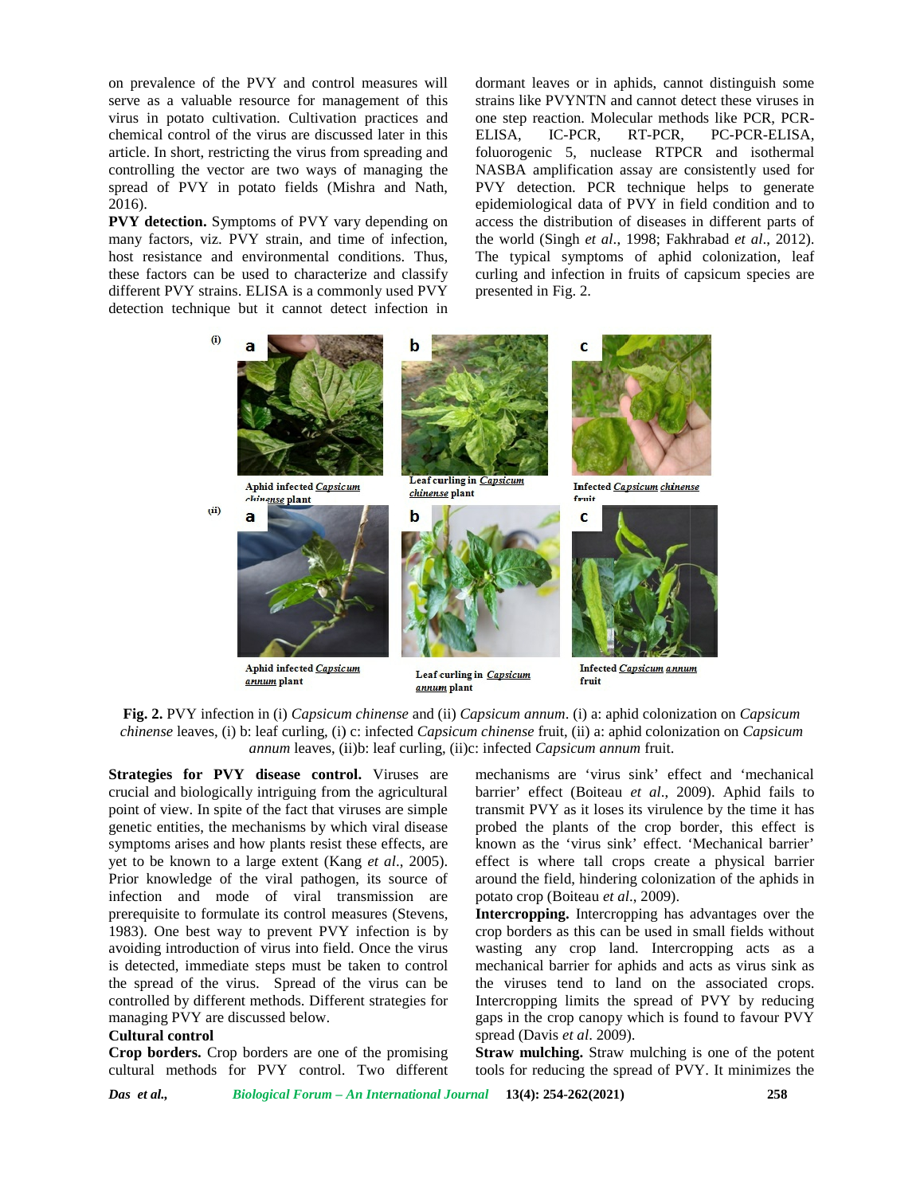on prevalence of the PVY and control measures will serve as a valuable resource for management of this virus in potato cultivation. Cultivation practices and chemical control of the virus are discussed later in this article. In short, restricting the virus from spreading and controlling the vector are two ways of managing the spread of PVY in potato fields (Mishra and Nath, 2016).

**PVY detection.** Symptoms of PVY vary depending on many factors, viz. PVY strain, and time of infection, host resistance and environmental conditions. Thus, these factors can be used to characterize and classify different PVY strains. ELISA is a commonly used PVY detection technique but it cannot detect infection in chemical control of the virus are discussed later in this ELISA,<br>article. In short, restricting the virus from spreading and foluorog<br>controlling the vector are two ways of managing the NASBA<br>spread of PVY in potato fields

dormant leaves or in aphids, cannot distinguish some strains like PVYNTN and cannot detect these viruses in one step reaction. Molecular methods like PCR, PCR- IC-PCR, RT-PCR, PC-PCR-ELISA, foluorogenic 5, nuclease RTPCR and isothermal NASBA amplification assay are consistently used for PVY detection. PCR technique helps to generate epidemiological data of PVY in field condition and to access the distribution of diseases in different parts of the world *(Singh et al., 1998; Fakhrabad et al., 2012).* The typical symptoms of aphid colonization, leaf curling and infection in fruits of capsicum species are presented in Fig. 2. strains like PVYNTN and cannot detect these viruses in<br>one step reaction. Molecular methods like PCR, PCR-<br>ELISA, IC-PCR, RT-PCR, PC-PCR-ELISA,<br>foluorogenic 5, nuclease RTPCR and isothermal<br>NASBA amplification assay are co





**Strategies for PVY disease control.** Viruses are crucial and biologically intriguing from the agricultural point of view. In spite of the fact that viruses are simple genetic entities, the mechanisms by which viral disease symptoms arises and how plants resist these effects, are yet to be known to a large extent (Kang *et al*., 2005). Prior knowledge of the viral pathogen, its source of infection and mode of viral transmission are prerequisite to formulate its control measures (Stevens, 1983). One best way to prevent PVY infection is by avoiding introduction of virus into field. Once the virus is detected, immediate steps must be taken to control the spread of the virus. Spread of the virus can be controlled by different methods. Different strategies for managing PVY are discussed below. **Strategies for PVY disease control.** Viruses are mechanisms are 'virus sink' effect and 'mechanical productional valority intriguing from the agricultural barrier' effect (Boiteau et al., 2009). Aphid fails to preduce by

### **Cultural control**

**Crop borders.** Crop borders are one of the promising cultural methods for PVY control. Two different

mechanisms are 'virus sink' effect and 'mechanical barrier' effect (Boiteau *et al*., 2009). Aphid fails to transmit PVY as it loses its virulence by the time it has transmit PVY as it loses its virulence by the time it has probed the plants of the crop border, this effect is known as the 'virus sink' effect. 'Mechanical barrier' effect is where tall crops create a physical barrier around the field, hindering colonization of the aphids in potato crop (Boiteau *et al*., 2009).

**Intercropping.** Intercropping has advantages over the crop borders as this can be used in small fields without wasting any crop land. Intercropping acts as a mechanical barrier for aphids and acts as virus sink as the viruses tend to land on the associated crops. Intercropping limits the spread of PVY by reducing gaps in the crop canopy which is found to favour PVY spread (Davis *et al.* 2009). potato crop (Boiteau *et al.*, 2009).<br>Intercropping. Intercropping has advantages over the<br>crop borders as this can be used in small fields without<br>wasting any crop land. Intercropping acts as a<br>mechanical barrier for aphi

**Straw mulching.** Straw mulching is one of the potent **Straw mulching.** Straw mulching is one of the potent tools for reducing the spread of PVY. It minimizes the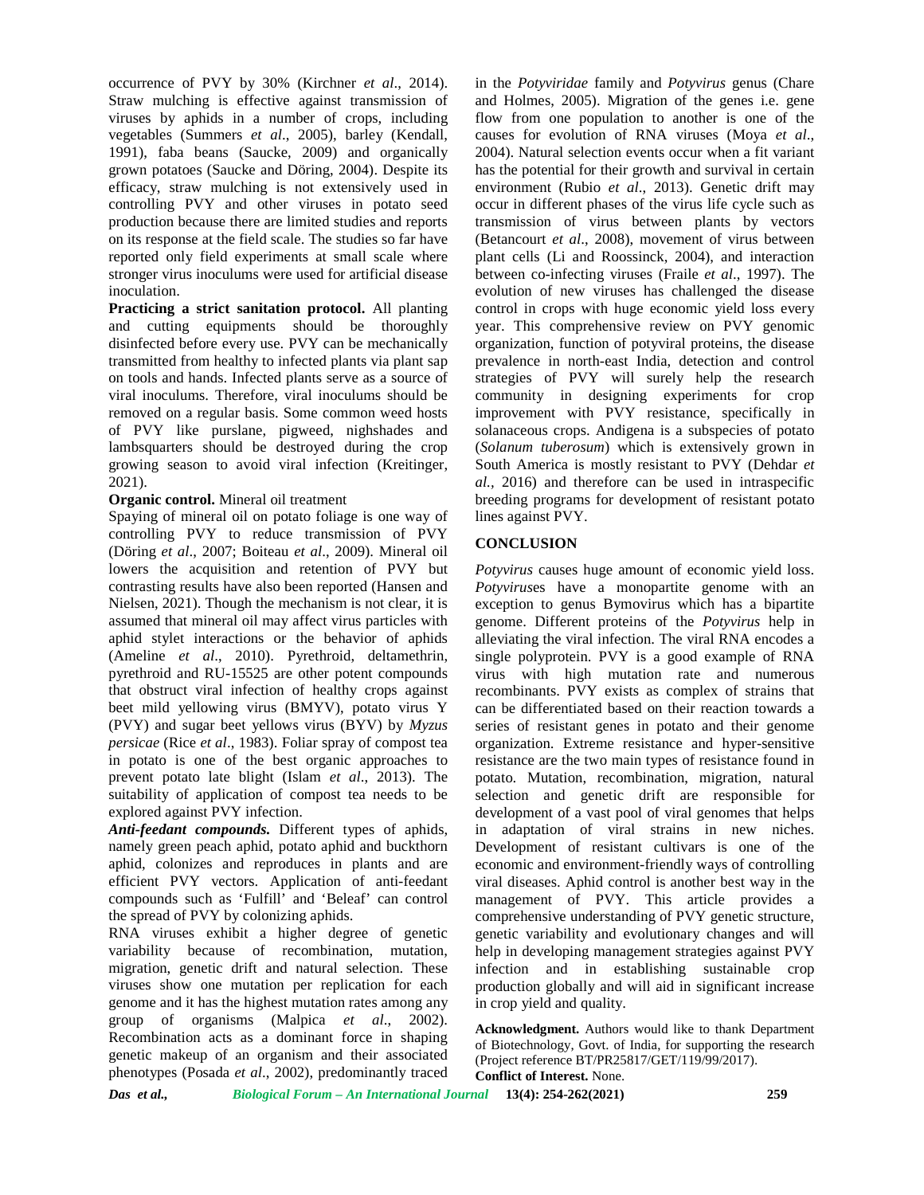occurrence of PVY by 30% (Kirchner *et al*., 2014). Straw mulching is effective against transmission of viruses by aphids in a number of crops, including vegetables (Summers *et al*., 2005), barley (Kendall, 1991), faba beans (Saucke, 2009) and organically grown potatoes (Saucke and Döring, 2004). Despite its efficacy, straw mulching is not extensively used in controlling PVY and other viruses in potato seed production because there are limited studies and reports on its response at the field scale. The studies so far have reported only field experiments at small scale where stronger virus inoculums were used for artificial disease inoculation.

**Practicing a strict sanitation protocol.** All planting and cutting equipments should be thoroughly disinfected before every use. PVY can be mechanically transmitted from healthy to infected plants via plant sap on tools and hands. Infected plants serve as a source of viral inoculums. Therefore, viral inoculums should be removed on a regular basis. Some common weed hosts of PVY like purslane, pigweed, nighshades and lambsquarters should be destroyed during the crop growing season to avoid viral infection (Kreitinger, 2021).

### **Organic control.** Mineral oil treatment

Spaying of mineral oil on potato foliage is one way of controlling PVY to reduce transmission of PVY (Döring *et al*., 2007; Boiteau *et al*., 2009). Mineral oil lowers the acquisition and retention of PVY but contrasting results have also been reported (Hansen and Nielsen, 2021). Though the mechanism is not clear, it is assumed that mineral oil may affect virus particles with aphid stylet interactions or the behavior of aphids (Ameline *et al*., 2010). Pyrethroid, deltamethrin, pyrethroid and RU-15525 are other potent compounds that obstruct viral infection of healthy crops against beet mild yellowing virus (BMYV), potato virus Y (PVY) and sugar beet yellows virus (BYV) by *Myzus persicae* (Rice *et al*., 1983). Foliar spray of compost tea in potato is one of the best organic approaches to prevent potato late blight (Islam *et al*., 2013). The suitability of application of compost tea needs to be explored against PVY infection.

*Anti-feedant compounds.* Different types of aphids, namely green peach aphid, potato aphid and buckthorn aphid, colonizes and reproduces in plants and are efficient PVY vectors. Application of anti-feedant compounds such as 'Fulfill' and 'Beleaf' can control the spread of PVY by colonizing aphids.

RNA viruses exhibit a higher degree of genetic variability because of recombination, mutation, migration, genetic drift and natural selection. These viruses show one mutation per replication for each genome and it has the highest mutation rates among any group of organisms (Malpica *et al*., 2002). Recombination acts as a dominant force in shaping genetic makeup of an organism and their associated phenotypes (Posada *et al*., 2002), predominantly traced

in the *Potyviridae* family and *Potyvirus* genus (Chare and Holmes, 2005). Migration of the genes i.e. gene flow from one population to another is one of the causes for evolution of RNA viruses (Moya *et al*., 2004). Natural selection events occur when a fit variant has the potential for their growth and survival in certain environment (Rubio *et al*., 2013). Genetic drift may occur in different phases of the virus life cycle such as transmission of virus between plants by vectors (Betancourt *et al*., 2008), movement of virus between plant cells (Li and Roossinck, 2004), and interaction between co-infecting viruses (Fraile *et al*., 1997). The evolution of new viruses has challenged the disease control in crops with huge economic yield loss every year. This comprehensive review on PVY genomic organization, function of potyviral proteins, the disease prevalence in north-east India, detection and control strategies of PVY will surely help the research community in designing experiments for crop improvement with PVY resistance, specifically in solanaceous crops. Andigena is a subspecies of potato (*Solanum tuberosum*) which is extensively grown in South America is mostly resistant to PVY (Dehdar *et al.,* 2016) and therefore can be used in intraspecific breeding programs for development of resistant potato lines against PVY.

## **CONCLUSION**

*Potyvirus* causes huge amount of economic yield loss. *Potyvirus*es have a monopartite genome with an exception to genus Bymovirus which has a bipartite genome. Different proteins of the *Potyvirus* help in alleviating the viral infection. The viral RNA encodes a single polyprotein. PVY is a good example of RNA virus with high mutation rate and numerous recombinants. PVY exists as complex of strains that can be differentiated based on their reaction towards a series of resistant genes in potato and their genome organization. Extreme resistance and hyper-sensitive resistance are the two main types of resistance found in potato. Mutation, recombination, migration, natural selection and genetic drift are responsible for development of a vast pool of viral genomes that helps in adaptation of viral strains in new niches. Development of resistant cultivars is one of the economic and environment-friendly ways of controlling viral diseases. Aphid control is another best way in the management of PVY. This article provides a comprehensive understanding of PVY genetic structure, genetic variability and evolutionary changes and will help in developing management strategies against PVY infection and in establishing sustainable crop production globally and will aid in significant increase in crop yield and quality.

**Acknowledgment.** Authors would like to thank Department of Biotechnology, Govt. of India, for supporting the research (Project reference BT/PR25817/GET/119/99/2017). **Conflict of Interest.** None.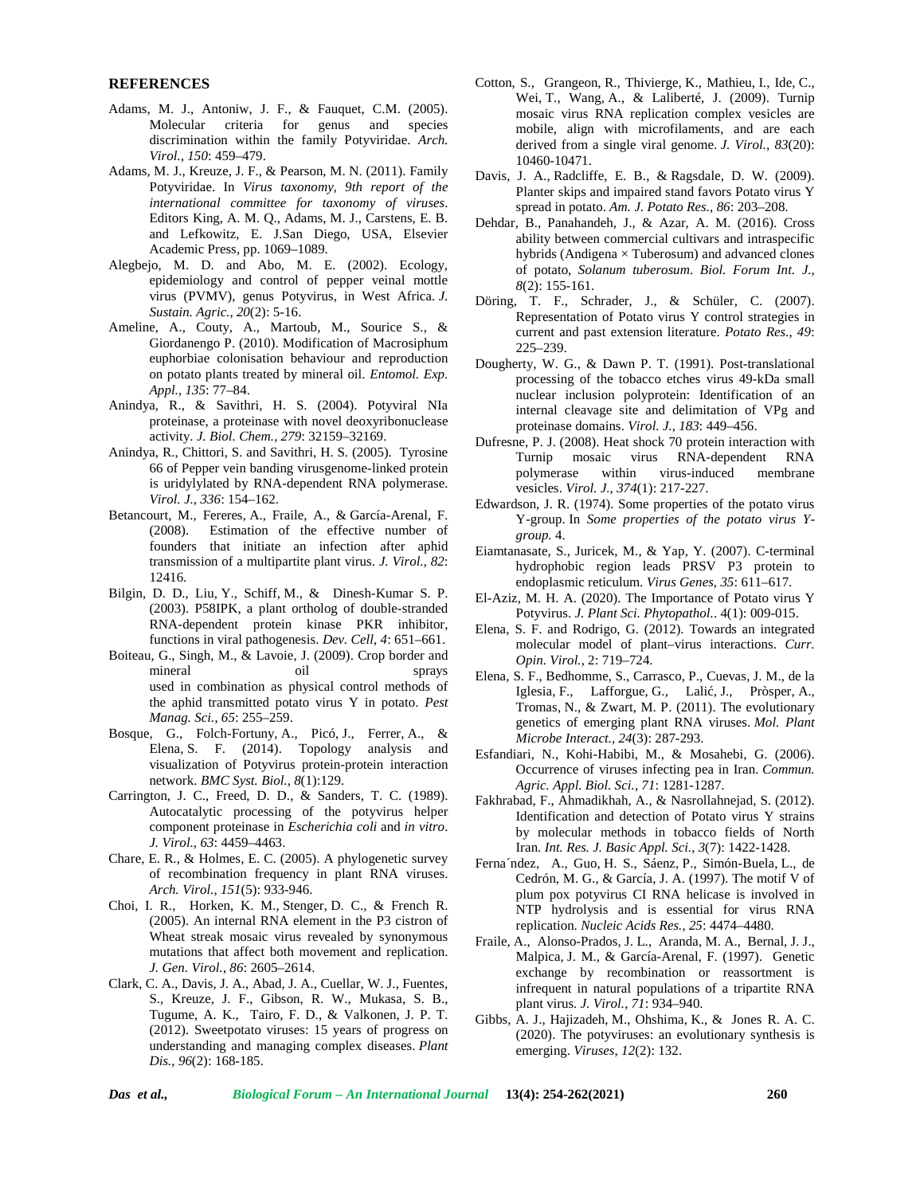#### **REFERENCES**

- Adams, M. J., Antoniw, J. F., & Fauquet, C.M. (2005). Molecular criteria for genus and species discrimination within the family Potyviridae. *Arch. Virol.*, *150*: 459–479.
- Adams, M. J., Kreuze, J. F., & Pearson, M. N. (2011). Family Potyviridae. In *Virus taxonomy, 9th report of the international committee for taxonomy of viruses*. Editors King, A. M. Q., Adams, M. J., Carstens, E. B. and Lefkowitz, E. J.San Diego, USA, Elsevier Academic Press, pp. 1069–1089.
- Alegbejo, M. D. and Abo, M. E. (2002). Ecology, epidemiology and control of pepper veinal mottle virus (PVMV), genus Potyvirus, in West Africa. *J. Sustain. Agric., 20*(2): 5-16.
- Ameline, A., Couty, A., Martoub, M., Sourice S., & Giordanengo P. (2010). Modification of Macrosiphum euphorbiae colonisation behaviour and reproduction on potato plants treated by mineral oil. *Entomol. Exp. Appl.*, *135*: 77–84.
- Anindya, R., & Savithri, H. S. (2004). Potyviral NIa proteinase, a proteinase with novel deoxyribonuclease activity. *J. Biol. Chem.*, *279*: 32159–32169.
- Anindya, R., Chittori, S. and Savithri, H. S. (2005). Tyrosine 66 of Pepper vein banding virusgenome-linked protein is uridylylated by RNA-dependent RNA polymerase. *Virol. J.*, *336*: 154–162.
- Betancourt, M., Fereres, A., Fraile, A., & García-Arenal, F. (2008). Estimation of the effective number of founders that initiate an infection after aphid transmission of a multipartite plant virus. *J. Virol.*, *82*: 12416.
- Bilgin, D. D., Liu, Y., Schiff, M., & Dinesh-Kumar S. P. (2003). P58IPK, a plant ortholog of double-stranded RNA-dependent protein kinase PKR inhibitor, functions in viral pathogenesis. *Dev. Cell*, *4*: 651–661.
- Boiteau, G., Singh, M., & Lavoie, J. (2009). Crop border and mineral oil sprays used in combination as physical control methods of the aphid transmitted potato virus Y in potato. *Pest Manag. Sci.*, *65*: 255–259.
- Bosque, G., Folch-Fortuny, A., Picó, J., Ferrer, A., & Elena, S. F. (2014). Topology analysis and visualization of Potyvirus protein-protein interaction network. *BMC Syst. Biol.*, *8*(1):129.
- Carrington, J. C., Freed, D. D., & Sanders, T. C. (1989). Autocatalytic processing of the potyvirus helper component proteinase in *Escherichia coli* and *in vitro*. *J. Virol.*, *63*: 4459–4463.
- Chare, E. R., & Holmes, E. C. (2005). A phylogenetic survey of recombination frequency in plant RNA viruses. *Arch. Virol., 151*(5): 933-946.
- Choi, I. R., Horken, K. M., Stenger, D. C., & French R. (2005). An internal RNA element in the P3 cistron of Wheat streak mosaic virus revealed by synonymous mutations that affect both movement and replication. *J. Gen. Virol.*, *86*: 2605–2614.
- Clark, C. A., Davis, J. A., Abad, J. A., Cuellar, W. J., Fuentes, S., Kreuze, J. F., Gibson, R. W., Mukasa, S. B., Tugume, A. K., Tairo, F. D., & Valkonen, J. P. T. (2012). Sweetpotato viruses: 15 years of progress on understanding and managing complex diseases. *Plant Dis.*, *96*(2): 168-185.
- Cotton, S., Grangeon, R., Thivierge, K., Mathieu, I., Ide, C., Wei, T., Wang, A., & Laliberté, J. (2009). Turnip mosaic virus RNA replication complex vesicles are mobile, align with microfilaments, and are each derived from a single viral genome. *J. Virol., 83*(20): 10460-10471.
- Davis, J. A., Radcliffe, E. B., & Ragsdale, D. W. (2009). Planter skips and impaired stand favors Potato virus Y spread in potato. *Am. J. Potato Res., 86*: 203–208.
- Dehdar, B., Panahandeh, J., & Azar, A. M. (2016). Cross ability between commercial cultivars and intraspecific hybrids (Andigena  $\times$  Tuberosum) and advanced clones of potato, *Solanum tuberosum*. *Biol. Forum Int. J.*, *8*(2): 155-161.
- Döring, T. F., Schrader, J., & Schüler, C. (2007). Representation of Potato virus Y control strategies in current and past extension literature. *Potato Res.*, *49*: 225–239.
- Dougherty, W. G., & Dawn P. T. (1991). Post-translational processing of the tobacco etches virus 49-kDa small nuclear inclusion polyprotein: Identification of an internal cleavage site and delimitation of VPg and proteinase domains. *Virol. J.*, *183*: 449–456.
- Dufresne, P. J. (2008). Heat shock 70 protein interaction with Turnip mosaic virus RNA-dependent RNA polymerase within virus-induced membrane vesicles. *Virol. J.*, *374*(1): 217-227.
- Edwardson, J. R. (1974). Some properties of the potato virus Y-group. In *Some properties of the potato virus Y group.* 4.
- Eiamtanasate, S., Juricek, M., & Yap, Y. (2007). C-terminal hydrophobic region leads PRSV P3 protein to endoplasmic reticulum. *Virus Genes*, *35*: 611–617.
- El-Aziz, M. H. A. (2020). The Importance of Potato virus Y Potyvirus. *J. Plant Sci. Phytopathol.*. 4(1): 009-015.
- Elena, S. F. and Rodrigo, G. (2012). Towards an integrated molecular model of plant–virus interactions. *Curr. Opin. Virol.*, 2: 719–724.
- Elena, S. F., Bedhomme, S., Carrasco, P., Cuevas, J. M., de la Iglesia, F., Lafforgue, G., Lali, J., Pròsper, A., Tromas, N., & Zwart, M. P. (2011). The evolutionary genetics of emerging plant RNA viruses. *Mol. Plant Microbe Interact.*, *24*(3): 287-293.
- Esfandiari, N., Kohi-Habibi, M., & Mosahebi, G. (2006). Occurrence of viruses infecting pea in Iran. *Commun. Agric. Appl. Biol. Sci.*, *71*: 1281-1287.
- Fakhrabad, F., Ahmadikhah, A., & Nasrollahnejad, S. (2012). Identification and detection of Potato virus Y strains by molecular methods in tobacco fields of North Iran. *Int. Res. J. Basic Appl. Sci.*, *3*(7): 1422-1428.
- Ferna´ndez, A., Guo, H. S., Sáenz, P., Simón-Buela, L., de Cedrón, M. G., & García, J. A. (1997). The motif V of plum pox potyvirus CI RNA helicase is involved in NTP hydrolysis and is essential for virus RNA replication. *Nucleic Acids Res.*, *25*: 4474–4480.
- Fraile, A., Alonso-Prados, J. L., Aranda, M. A., Bernal, J. J., Malpica, J. M., & García-Arenal, F. (1997). Genetic exchange by recombination or reassortment is infrequent in natural populations of a tripartite RNA plant virus. *J. Virol.*, *71*: 934–940.
- Gibbs, A. J., Hajizadeh, M., Ohshima, K., & Jones R. A. C. (2020). The potyviruses: an evolutionary synthesis is emerging. *Viruses*, *12*(2): 132.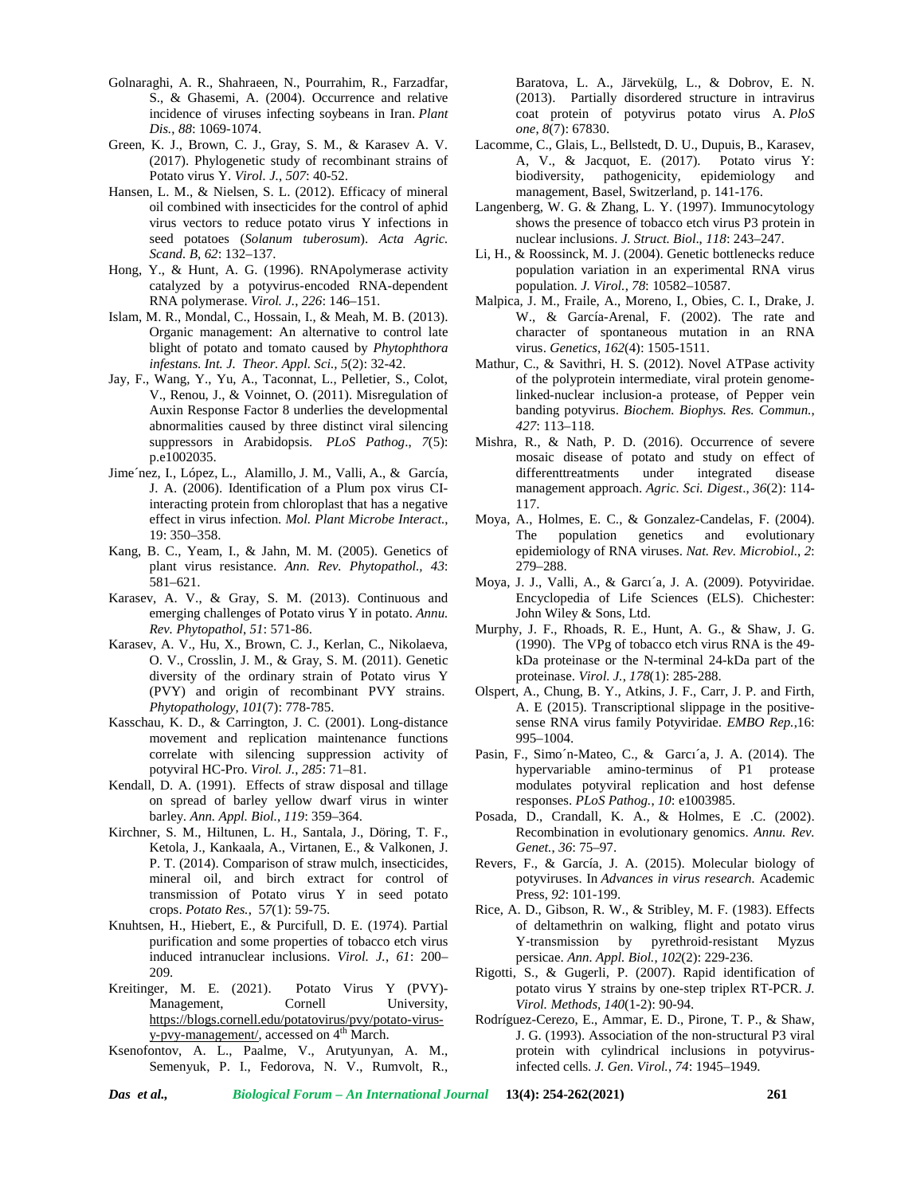- Golnaraghi, A. R., Shahraeen, N., Pourrahim, R., Farzadfar, S., & Ghasemi, A. (2004). Occurrence and relative incidence of viruses infecting soybeans in Iran. *Plant Dis.*, *88*: 1069-1074.
- Green, K. J., Brown, C. J., Gray, S. M., & Karasev A. V. (2017). Phylogenetic study of recombinant strains of Potato virus Y. *Virol. J.*, *507*: 40-52.
- Hansen, L. M., & Nielsen, S. L. (2012). Efficacy of mineral oil combined with insecticides for the control of aphid virus vectors to reduce potato virus Y infections in seed potatoes (*Solanum tuberosum*). *Acta Agric. Scand. B*, *62*: 132–137.
- Hong, Y., & Hunt, A. G. (1996). RNApolymerase activity catalyzed by a potyvirus-encoded RNA-dependent RNA polymerase. *Virol. J.*, *226*: 146–151.
- Islam, M. R., Mondal, C., Hossain, I., & Meah, M. B. (2013). Organic management: An alternative to control late blight of potato and tomato caused by *Phytophthora infestans*. *Int. J. Theor. Appl. Sci., 5*(2): 32-42.
- Jay, F., Wang, Y., Yu, A., Taconnat, L., Pelletier, S., Colot, V., Renou, J., & Voinnet, O. (2011). Misregulation of Auxin Response Factor 8 underlies the developmental abnormalities caused by three distinct viral silencing suppressors in Arabidopsis. *PLoS Pathog*., *7*(5): p.e1002035.
- Jime´nez, I., López, L., Alamillo, J. M., Valli, A., & García, J. A. (2006). Identification of a Plum pox virus CIinteracting protein from chloroplast that has a negative effect in virus infection. *Mol. Plant Microbe Interact.*, 19: 350–358.
- Kang, B. C., Yeam, I., & Jahn, M. M. (2005). Genetics of plant virus resistance. *Ann. Rev. Phytopathol., 43*: 581–621.
- Karasev, A. V., & Gray, S. M. (2013). Continuous and emerging challenges of Potato virus Y in potato. *Annu. Rev. Phytopathol*, *51*: 571-86.
- Karasev, A. V., Hu, X., Brown, C. J., Kerlan, C., Nikolaeva, O. V., Crosslin, J. M., & Gray, S. M. (2011). Genetic diversity of the ordinary strain of Potato virus Y (PVY) and origin of recombinant PVY strains. *Phytopathology*, *101*(7): 778-785.
- Kasschau, K. D., & Carrington, J. C. (2001). Long-distance movement and replication maintenance functions correlate with silencing suppression activity of potyviral HC-Pro. *Virol. J.*, *285*: 71–81.
- Kendall, D. A. (1991). Effects of straw disposal and tillage on spread of barley yellow dwarf virus in winter barley. *Ann. Appl. Biol.*, *119*: 359–364.
- Kirchner, S. M., Hiltunen, L. H., Santala, J., Döring, T. F., Ketola, J., Kankaala, A., Virtanen, E., & Valkonen, J. P. T. (2014). Comparison of straw mulch, insecticides, mineral oil, and birch extract for control of transmission of Potato virus Y in seed potato crops. *Potato Res.*, 5*7*(1): 59-75.
- Knuhtsen, H., Hiebert, E., & Purcifull, D. E. (1974). Partial purification and some properties of tobacco etch virus induced intranuclear inclusions. *Virol. J.*, *61*: 200– 209.
- Kreitinger, M. E. (2021). Potato Virus Y (PVY)- Management, Cornell University, https://blogs.cornell.edu/potatovirus/pvy/potato-virus y-pvy-management/, accessed on 4<sup>th</sup> March.
- Ksenofontov, A. L., Paalme, V., Arutyunyan, A. M., Semenyuk, P. I., Fedorova, N. V., Rumvolt, R.,

Baratova, L. A., Järvekülg, L., & Dobrov, E. N. (2013). Partially disordered structure in intravirus coat protein of potyvirus potato virus A. *PloS one*, *8*(7): 67830.

- Lacomme, C., Glais, L., Bellstedt, D. U., Dupuis, B., Karasev, A, V., & Jacquot, E. (2017). Potato virus Y: biodiversity, pathogenicity, epidemiology and management, Basel, Switzerland, p. 141-176.
- Langenberg, W. G. & Zhang, L. Y. (1997). Immunocytology shows the presence of tobacco etch virus P3 protein in nuclear inclusions. *J. Struct. Biol*., *118*: 243–247.
- Li, H., & Roossinck, M. J. (2004). Genetic bottlenecks reduce population variation in an experimental RNA virus population. *J. Virol.*, *78*: 10582–10587.
- Malpica, J. M., Fraile, A., Moreno, I., Obies, C. I., Drake, J. W., & García-Arenal, F. (2002). The rate and character of spontaneous mutation in an RNA virus. *Genetics*, *162*(4): 1505-1511.
- Mathur, C., & Savithri, H. S. (2012). Novel ATPase activity of the polyprotein intermediate, viral protein genomelinked-nuclear inclusion-a protease, of Pepper vein banding potyvirus. *Biochem. Biophys. Res. Commun.*, *427*: 113–118.
- Mishra, R., & Nath, P. D. (2016). Occurrence of severe mosaic disease of potato and study on effect of differenttreatments under integrated disease management approach. *Agric. Sci. Digest*., *36*(2): 114- 117.
- Moya, A., Holmes, E. C., & Gonzalez-Candelas, F. (2004). The population genetics and evolutionary epidemiology of RNA viruses. *Nat. Rev. Microbiol.*, *2*: 279–288.
- Moya, J. J., Valli, A., & Garcı´a, J. A. (2009). Potyviridae. Encyclopedia of Life Sciences (ELS). Chichester: John Wiley & Sons, Ltd.
- Murphy, J. F., Rhoads, R. E., Hunt, A. G., & Shaw, J. G. (1990). The VPg of tobacco etch virus RNA is the 49 kDa proteinase or the N-terminal 24-kDa part of the proteinase. *Virol. J.*, *178*(1): 285-288.
- Olspert, A., Chung, B. Y., Atkins, J. F., Carr, J. P. and Firth, A. E (2015). Transcriptional slippage in the positive sense RNA virus family Potyviridae. *EMBO Rep.*,16: 995–1004.
- Pasin, F., Simo´n-Mateo, C., & Garcı´a, J. A. (2014). The hypervariable amino-terminus of P1 protease modulates potyviral replication and host defense responses. *PLoS Pathog.*, *10*: e1003985.
- Posada, D., Crandall, K. A., & Holmes, E .C. (2002). Recombination in evolutionary genomics. *Annu. Rev. Genet.*, *36*: 75–97.
- Revers, F., & García, J. A. (2015). Molecular biology of potyviruses. In *Advances in virus research.* Academic Press, *92*: 101-199.
- Rice, A. D., Gibson, R. W., & Stribley, M. F. (1983). Effects of deltamethrin on walking, flight and potato virus Y‐transmission by pyrethroid‐resistant Myzus persicae. *Ann. Appl. Biol.*, *102*(2): 229-236.
- Rigotti, S., & Gugerli, P. (2007). Rapid identification of potato virus Y strains by one-step triplex RT-PCR. *J. Virol. Methods, 140*(1-2): 90-94.
- Rodríguez-Cerezo, E., Ammar, E. D., Pirone, T. P., & Shaw, J. G. (1993). Association of the non-structural P3 viral protein with cylindrical inclusions in potyvirusinfected cells. *J. Gen. Virol.*, *74*: 1945–1949.